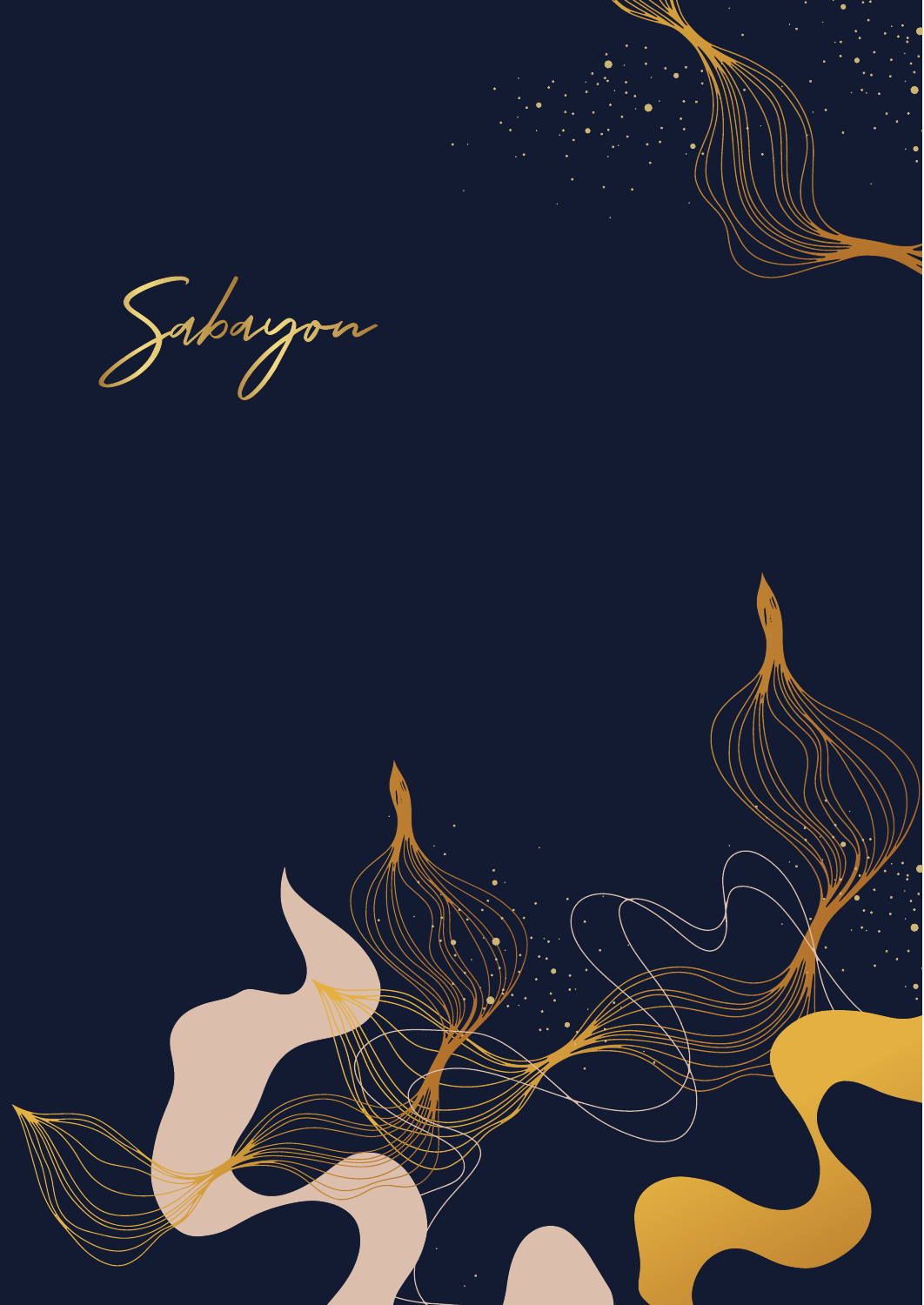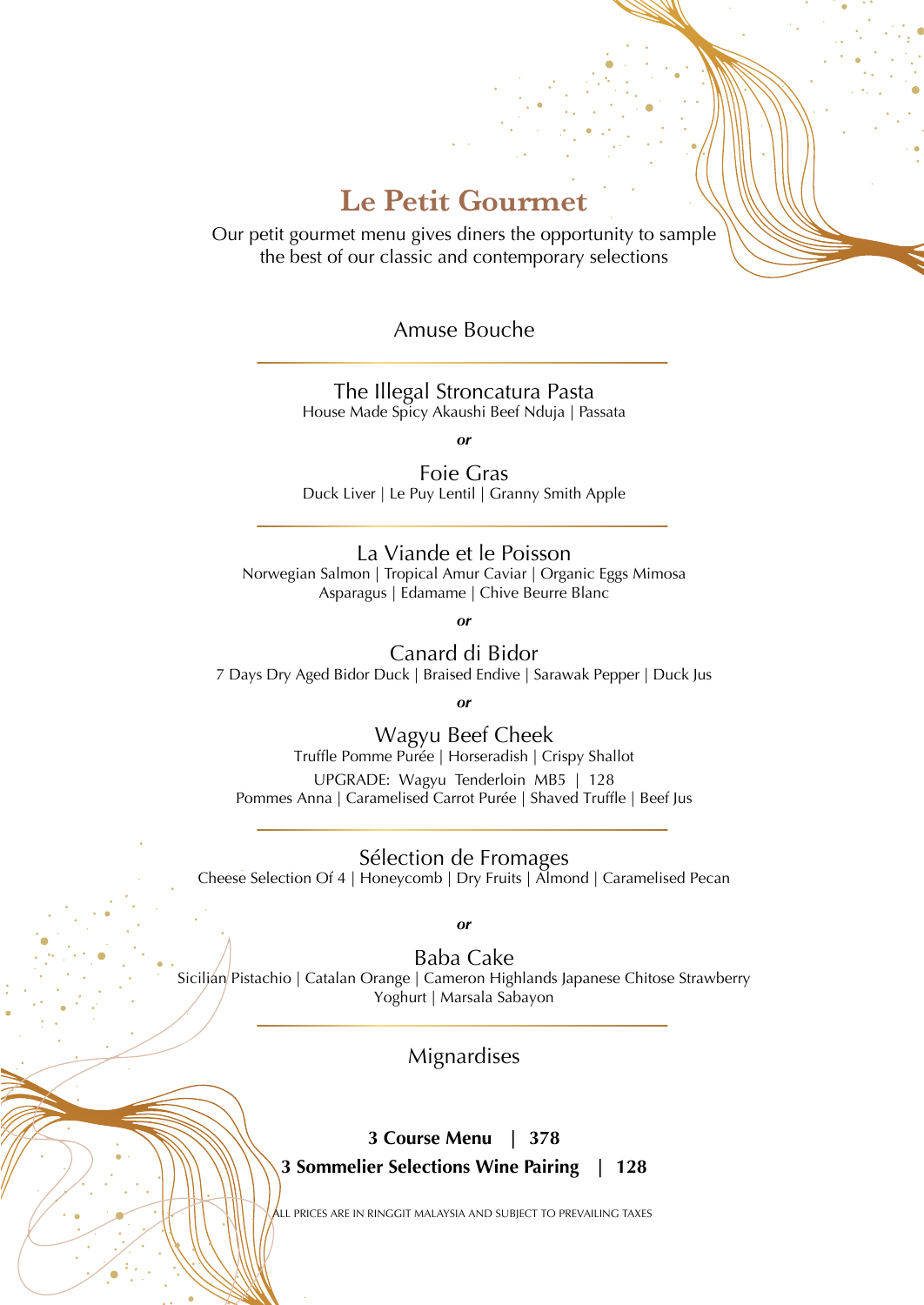## **Le Petit Gourmet**

Our petit gourmet menu gives diners the opportunity to sample the best of our classic and contemporary selections

Amuse Bouche

The Illegal Stroncatura Pasta House Made Spicy Akaushi Beef Nduja | Passata

*or*

Foie Gras Duck Liver | Le Puy Lentil | Granny Smith Apple

La Viande et le Poisson Norwegian Salmon | Tropical Amur Caviar | Organic Eggs Mimosa Asparagus | Edamame | Chive Beurre Blanc

*or*

Canard di Bidor

7 Days Dry Aged Bidor Duck | Braised Endive | Sarawak Pepper | Duck Jus

*or*

Wagyu Beef Cheek Truffle Pomme Purée | Horseradish | Crispy Shallot UPGRADE: Wagyu Tenderloin MB5 | 128 Pommes Anna | Caramelised Carrot Purée | Shaved Truffle | Beef Jus

Sélection de Fromages Cheese Selection Of 4 | Honeycomb | Dry Fruits | Almond | Caramelised Pecan

*or*

Baba Cake Sicilian Pistachio | Catalan Orange | Cameron Highlands Japanese Chitose Strawberry Yoghurt | Marsala Sabayon

Mignardises

**3 Course Menu | 378 3 Sommelier Selections Wine Pairing | 128**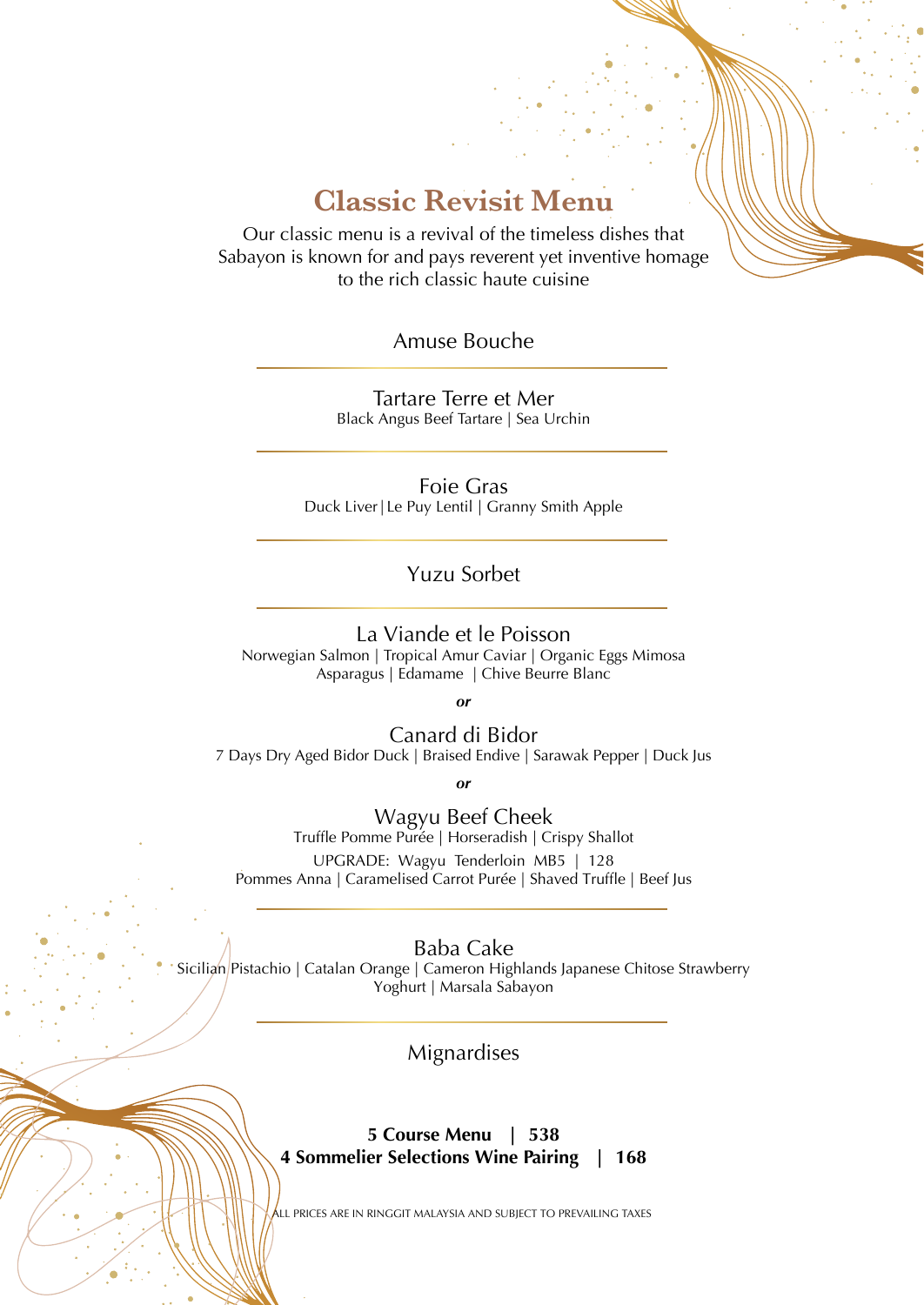## **Classic Revisit Menu**

Our classic menu is a revival of the timeless dishes that Sabayon is known for and pays reverent yet inventive homage to the rich classic haute cuisine

Amuse Bouche

Tartare Terre et Mer Black Angus Beef Tartare | Sea Urchin

Foie Gras Duck Liver | Le Puy Lentil | Granny Smith Apple

Yuzu Sorbet

#### La Viande et le Poisson

Norwegian Salmon | Tropical Amur Caviar | Organic Eggs Mimosa Asparagus | Edamame | Chive Beurre Blanc

*or*

Canard di Bidor 7 Days Dry Aged Bidor Duck | Braised Endive | Sarawak Pepper | Duck Jus

*or*

Wagyu Beef Cheek Truffle Pomme Purée | Horseradish | Crispy Shallot UPGRADE: Wagyu Tenderloin MB5 | 128 Pommes Anna | Caramelised Carrot Purée | Shaved Truffle | Beef Jus

Baba Cake

Sicilian Pistachio | Catalan Orange | Cameron Highlands Japanese Chitose Strawberry Yoghurt | Marsala Sabayon

Mignardises

**5 Course Menu | 538 4 Sommelier Selections Wine Pairing | 168**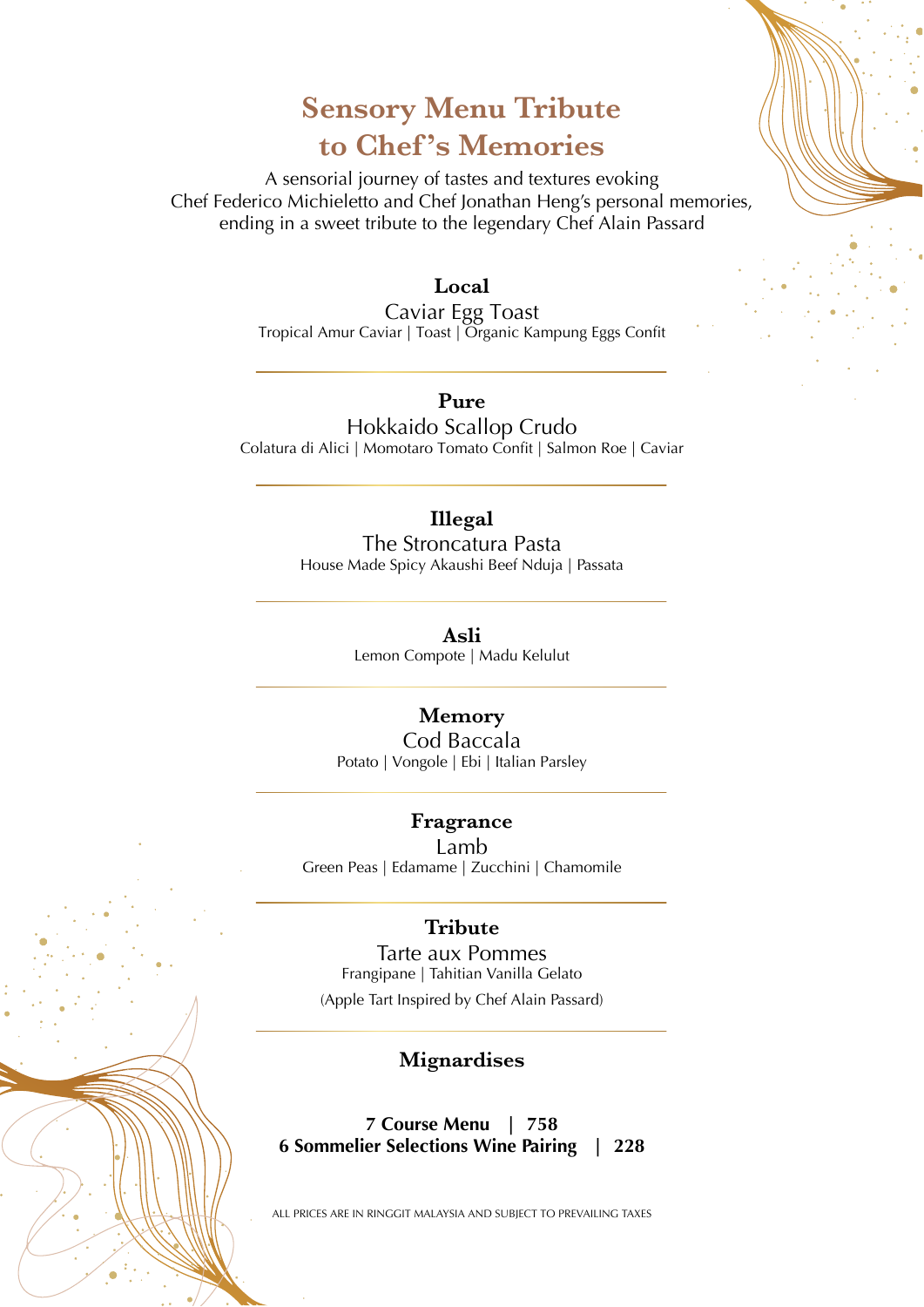## **Sensory Menu Tribute to Chef's Memories**

A sensorial journey of tastes and textures evoking Chef Federico Michieletto and Chef Jonathan Heng's personal memories, ending in a sweet tribute to the legendary Chef Alain Passard

## **Local**

Caviar Egg Toast Tropical Amur Caviar | Toast | Organic Kampung Eggs Confit

## **Pure**

Hokkaido Scallop Crudo Colatura di Alici | Momotaro Tomato Confit | Salmon Roe | Caviar

## **Illegal**

The Stroncatura Pasta House Made Spicy Akaushi Beef Nduja | Passata

#### **Asli**

Lemon Compote | Madu Kelulut

## **Memory**

Cod Baccala Potato | Vongole | Ebi | Italian Parsley

#### **Fragrance**

Lamb Green Peas | Edamame | Zucchini | Chamomile

### **Tribute**

Tarte aux Pommes Frangipane | Tahitian Vanilla Gelato (Apple Tart Inspired by Chef Alain Passard)

## **Mignardises**

**7 Course Menu | 758 6 Sommelier Selections Wine Pairing | 228**